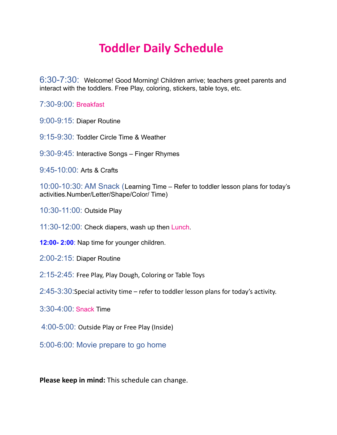## **Toddler Daily Schedule**

6:30-7:30: Welcome! Good Morning! Children arrive; teachers greet parents and interact with the toddlers. Free Play, coloring, stickers, table toys, etc.

7:30-9:00: Breakfast

- 9:00-9:15: Diaper Routine
- 9:15-9:30: Toddler Circle Time & Weather
- 9:30-9:45: Interactive Songs Finger Rhymes
- 9:45-10:00: Arts & Crafts

10:00-10:30: AM Snack (Learning Time – Refer to toddler lesson plans for today's activities.Number/Letter/Shape/Color/ Time)

- 10:30-11:00: Outside Play
- 11:30-12:00: Check diapers, wash up then Lunch.
- **12:00- 2:00**: Nap time for younger children.
- 2:00-2:15: Diaper Routine**:00 3:30**
- 2:15-2:45: Free Play, Play Dough, Coloring or Table Toys
- 2:45-3:30:Special activity time refer to toddler lesson plans for today's activity.
- 3:30-4:00: Snack Time
- 4:00-5:00: Outside Play or Free Play (Inside)
- 5:00-6:00: Movie prepare to go home

**Please keep in mind:** This schedule can change.